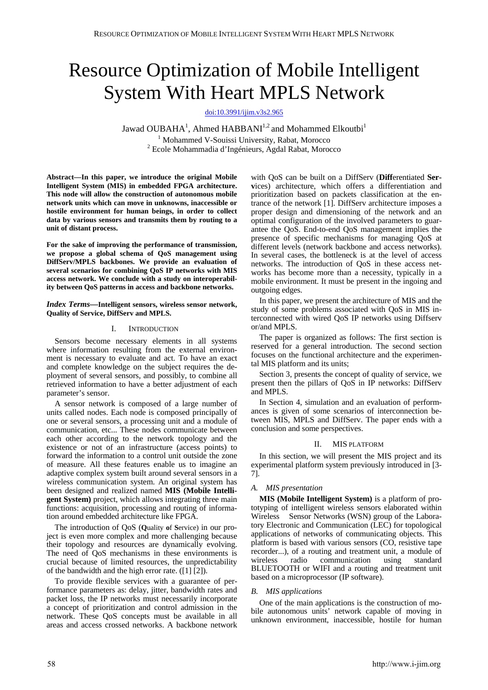# Resource Optimization of Mobile Intelligent System With Heart MPLS Network

[doi:10.3991/ijim.v3s2.965](http://dx.doi.org/10.3991/ijim.v3s2.965)

Jawad OUBAHA<sup>1</sup>, Ahmed HABBANI<sup>1,2</sup> and Mohammed Elkoutbi<sup>1</sup> <sup>1</sup> Mohammed V-Souissi University, Rabat, Morocco Ecole Mohammadia d'Ingénieurs, Agdal Rabat, Morocco

**Abstract—In this paper, we introduce the original Mobile Intelligent System (MIS) in embedded FPGA architecture. This node will allow the construction of autonomous mobile network units which can move in unknowns, inaccessible or hostile environment for human beings, in order to collect data by various sensors and transmits them by routing to a unit of distant process.** 

**For the sake of improving the performance of transmission, we propose a global schema of QoS management using DiffServ/MPLS backbones. We provide an evaluation of several scenarios for combining QoS IP networks with MIS access network. We conclude with a study on interoperability between QoS patterns in access and backbone networks.** 

#### *Index Terms—***Intelligent sensors, wireless sensor network, Quality of Service, DiffServ and MPLS.**

## I. INTRODUCTION

Sensors become necessary elements in all systems where information resulting from the external environment is necessary to evaluate and act. To have an exact and complete knowledge on the subject requires the deployment of several sensors, and possibly, to combine all retrieved information to have a better adjustment of each parameter's sensor.

A sensor network is composed of a large number of units called nodes. Each node is composed principally of one or several sensors, a processing unit and a module of communication, etc... These nodes communicate between each other according to the network topology and the existence or not of an infrastructure (access points) to forward the information to a control unit outside the zone of measure. All these features enable us to imagine an adaptive complex system built around several sensors in a wireless communication system. An original system has been designed and realized named **MIS (Mobile Intelligent System)** project, which allows integrating three main functions: acquisition, processing and routing of information around embedded architecture like FPGA.

The introduction of QoS (**Q**uality **o**f **S**ervice) in our project is even more complex and more challenging because their topology and resources are dynamically evolving. The need of QoS mechanisms in these environments is crucial because of limited resources, the unpredictability of the bandwidth and the high error rate. ([1] [2]).

To provide flexible services with a guarantee of performance parameters as: delay, jitter, bandwidth rates and packet loss, the IP networks must necessarily incorporate a concept of prioritization and control admission in the network. These QoS concepts must be available in all areas and access crossed networks. A backbone network with QoS can be built on a DiffServ (**Diff**erentiated **Serv**ices) architecture, which offers a differentiation and prioritization based on packets classification at the entrance of the network [1]. DiffServ architecture imposes a proper design and dimensioning of the network and an optimal configuration of the involved parameters to guarantee the QoS. End-to-end QoS management implies the presence of specific mechanisms for managing QoS at different levels (network backbone and access networks). In several cases, the bottleneck is at the level of access networks. The introduction of QoS in these access networks has become more than a necessity, typically in a mobile environment. It must be present in the ingoing and outgoing edges.

In this paper, we present the architecture of MIS and the study of some problems associated with QoS in MIS interconnected with wired QoS IP networks using Diffserv or/and MPLS.

The paper is organized as follows: The first section is reserved for a general introduction. The second section focuses on the functional architecture and the experimental MIS platform and its units;

Section 3, presents the concept of quality of service, we present then the pillars of QoS in IP networks: DiffServ and MPLS.

In Section 4, simulation and an evaluation of performances is given of some scenarios of interconnection between MIS, MPLS and DiffServ. The paper ends with a conclusion and some perspectives.

### II. MIS PLATFORM

In this section, we will present the MIS project and its experimental platform system previously introduced in [3- 7].

#### *A. MIS presentation*

**MIS (Mobile Intelligent System)** is a platform of prototyping of intelligent wireless sensors elaborated within Wireless Sensor Networks (WSN) group of the Laboratory Electronic and Communication (LEC) for topological applications of networks of communicating objects. This platform is based with various sensors (CO, resistive tape recorder...), of a routing and treatment unit, a module of wireless radio communication using standard BLUETOOTH or WIFI and a routing and treatment unit based on a microprocessor (IP software).

## *B. MIS applications*

One of the main applications is the construction of mobile autonomous units' network capable of moving in unknown environment, inaccessible, hostile for human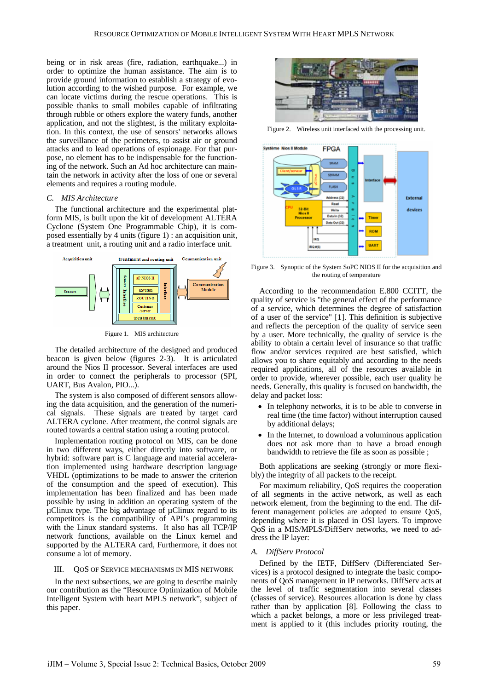being or in risk areas (fire, radiation, earthquake...) in order to optimize the human assistance. The aim is to provide ground information to establish a strategy of evolution according to the wished purpose. For example, we can locate victims during the rescue operations. This is possible thanks to small mobiles capable of infiltrating through rubble or others explore the watery funds, another application, and not the slightest, is the military exploitation. In this context, the use of sensors' networks allows the surveillance of the perimeters, to assist air or ground attacks and to lead operations of espionage. For that purpose, no element has to be indispensable for the functioning of the network. Such an Ad hoc architecture can maintain the network in activity after the loss of one or several elements and requires a routing module.

### *C. MIS Architecture*

The functional architecture and the experimental platform MIS, is built upon the kit of development ALTERA Cyclone (System One Programmable Chip), it is composed essentially by 4 units (figure 1) : an acquisition unit, a treatment unit, a routing unit and a radio interface unit.



Figure 1. MIS architecture

The detailed architecture of the designed and produced beacon is given below (figures 2-3). It is articulated around the Nios II processor. Several interfaces are used in order to connect the peripherals to processor (SPI, UART, Bus Avalon, PIO...).

The system is also composed of different sensors allowing the data acquisition, and the generation of the numerical signals. These signals are treated by target card ALTERA cyclone. After treatment, the control signals are routed towards a central station using a routing protocol.

Implementation routing protocol on MIS, can be done in two different ways, either directly into software, or hybrid: software part is C language and material acceleration implemented using hardware description language VHDL (optimizations to be made to answer the criterion of the consumption and the speed of execution). This implementation has been finalized and has been made possible by using in addition an operating system of the  $\mu$ Clinux type. The big advantage of  $\mu$ Clinux regard to its competitors is the compatibility of API's programming with the Linux standard systems. It also has all TCP/IP network functions, available on the Linux kernel and supported by the ALTERA card, Furthermore, it does not consume a lot of memory.

# III. QOS OF SERVICE MECHANISMS IN MIS NETWORK

In the next subsections, we are going to describe mainly our contribution as the "Resource Optimization of Mobile Intelligent System with heart MPLS network", subject of this paper.



Figure 2. Wireless unit interfaced with the processing unit.



Figure 3. Synoptic of the System SoPC NIOS II for the acquisition and the routing of temperature

According to the recommendation E.800 CCITT, the quality of service is "the general effect of the performance of a service, which determines the degree of satisfaction of a user of the service" [1]. This definition is subjective and reflects the perception of the quality of service seen by a user. More technically, the quality of service is the ability to obtain a certain level of insurance so that traffic flow and/or services required are best satisfied, which allows you to share equitably and according to the needs required applications, all of the resources available in order to provide, wherever possible, each user quality he needs. Generally, this quality is focused on bandwidth, the delay and packet loss:

- In telephony networks, it is to be able to converse in real time (the time factor) without interruption caused by additional delays;
- In the Internet, to download a voluminous application does not ask more than to have a broad enough bandwidth to retrieve the file as soon as possible ;

Both applications are seeking (strongly or more flexibly) the integrity of all packets to the receipt.

For maximum reliability, QoS requires the cooperation of all segments in the active network, as well as each network element, from the beginning to the end. The different management policies are adopted to ensure QoS, depending where it is placed in OSI layers. To improve QoS in a MIS/MPLS/DiffServ networks, we need to address the IP layer:

### *A. DiffServ Protocol*

Defined by the IETF, DiffServ (Differenciated Services) is a protocol designed to integrate the basic components of QoS management in IP networks. DiffServ acts at the level of traffic segmentation into several classes (classes of service). Resources allocation is done by class rather than by application [8]. Following the class to which a packet belongs, a more or less privileged treatment is applied to it (this includes priority routing, the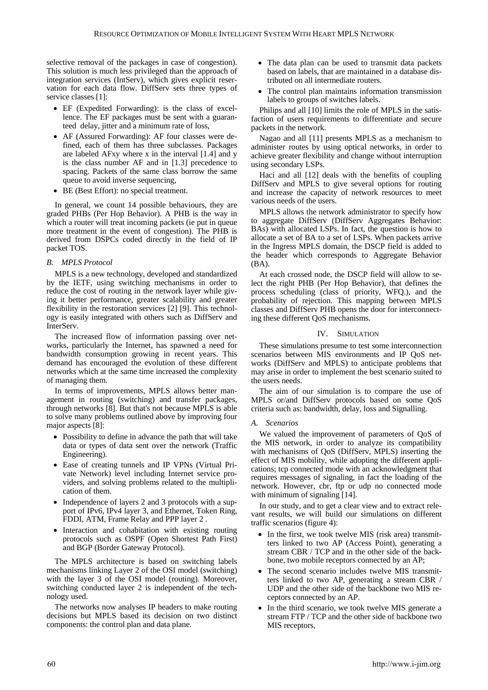selective removal of the packages in case of congestion). This solution is much less privileged than the approach of integration services (IntServ), which gives explicit reservation for each data flow. DiffServ sets three types of service classes [1]:

- EF (Expedited Forwarding): is the class of excellence. The EF packages must be sent with a guaranteed delay, jitter and a minimum rate of loss,
- AF (Assured Forwarding): AF four classes were defined, each of them has three subclasses. Packages are labeled AFxy where x in the interval [1.4] and y is the class number AF and in [1.3] precedence to spacing. Packets of the same class borrow the same queue to avoid inverse sequencing,
- BE (Best Effort): no special treatment.

In general, we count 14 possible behaviours, they are graded PHBs (Per Hop Behavior). A PHB is the way in which a router will treat incoming packets (ie put in queue more treatment in the event of congestion). The PHB is derived from DSPCs coded directly in the field of IP packet TOS.

### *B. MPLS Protocol*

MPLS is a new technology, developed and standardized by the IETF, using switching mechanisms in order to reduce the cost of routing in the network layer while giving it better performance, greater scalability and greater flexibility in the restoration services [2] [9]. This technology is easily integrated with others such as DiffServ and InterServ.

The increased flow of information passing over networks, particularly the Internet, has spawned a need for bandwidth consumption growing in recent years. This demand has encouraged the evolution of these different networks which at the same time increased the complexity of managing them.

In terms of improvements, MPLS allows better management in routing (switching) and transfer packages, through networks [8]. But that's not because MPLS is able to solve many problems outlined above by improving four major aspects [8]:

- Possibility to define in advance the path that will take data or types of data sent over the network (Traffic Engineering).
- Ease of creating tunnels and IP VPNs (Virtual Private Network) level including Internet service providers, and solving problems related to the multiplication of them.
- Independence of layers 2 and 3 protocols with a support of IPv6, IPv4 layer 3, and Ethernet, Token Ring, FDDI, ATM, Frame Relay and PPP layer 2 .
- Interaction and cohabitation with existing routing protocols such as OSPF (Open Shortest Path First) and BGP (Border Gateway Protocol).

The MPLS architecture is based on switching labels mechanisms linking Layer 2 of the OSI model (switching) with the layer 3 of the OSI model (routing). Moreover, switching conducted layer 2 is independent of the technology used.

The networks now analyses IP headers to make routing decisions but MPLS based its decision on two distinct components: the control plan and data plane.

- The data plan can be used to transmit data packets based on labels, that are maintained in a database distributed on all intermediate routers.
- The control plan maintains information transmission labels to groups of switches labels.

Philips and all [10] limits the role of MPLS in the satisfaction of users requirements to differentiate and secure packets in the network.

Nagao and all [11] presents MPLS as a mechanism to administer routes by using optical networks, in order to achieve greater flexibility and change without interruption using secondary LSPs.

Haci and all [12] deals with the benefits of coupling DiffServ and MPLS to give several options for routing and increase the capacity of network resources to meet various needs of the users.

MPLS allows the network administrator to specify how to aggregate DiffServ (DiffServ Aggregates Behavior: BAs) with allocated LSPs. In fact, the question is how to allocate a set of BA to a set of LSPs. When packets arrive in the Ingress MPLS domain, the DSCP field is added to the header which corresponds to Aggregate Behavior (BA).

At each crossed node, the DSCP field will allow to select the right PHB (Per Hop Behavior), that defines the process scheduling (class of priority, WFQ.), and the probability of rejection. This mapping between MPLS classes and DiffServ PHB opens the door for interconnecting these different QoS mechanisms.

#### IV. SIMULATION

These simulations presume to test some interconnection scenarios between MIS environments and IP QoS networks (DiffServ and MPLS) to anticipate problems that may arise in order to implement the best scenario suited to the users needs.

The aim of our simulation is to compare the use of MPLS or/and DiffServ protocols based on some QoS criteria such as: bandwidth, delay, loss and Signalling.

#### *A. Scenarios*

We valued the improvement of parameters of QoS of the MIS network, in order to analyze its compatibility with mechanisms of QoS (DiffServ, MPLS) inserting the effect of MIS mobility, while adopting the different applications; tcp connected mode with an acknowledgment that requires messages of signaling, in fact the loading of the network. However, cbr, ftp or udp no connected mode with minimum of signaling [\[14\].](#page-6-0)

In our study, and to get a clear view and to extract relevant results, we will build our simulations on different traffic scenarios (figure 4):

- In the first, we took twelve MIS (risk area) transmitters linked to two AP (Access Point), generating a stream CBR / TCP and in the other side of the backbone, two mobile receptors connected by an AP;
- The second scenario includes twelve MIS transmitters linked to two AP, generating a stream CBR / UDP and the other side of the backbone two MIS receptors connected by an AP.
- In the third scenario, we took twelve MIS generate a stream FTP / TCP and the other side of backbone two MIS receptors,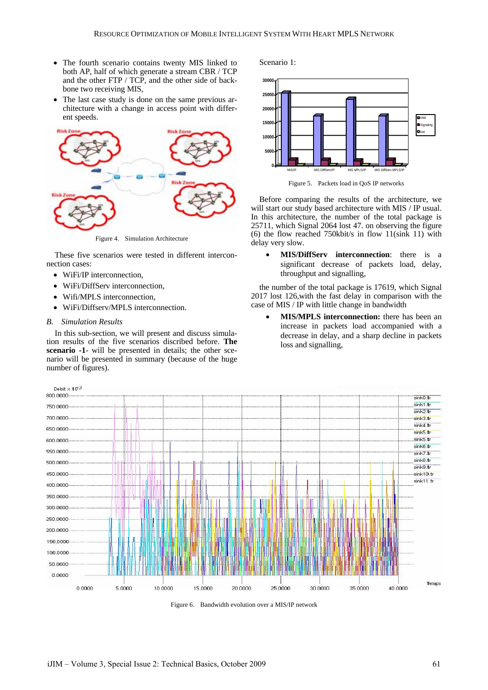- The fourth scenario contains twenty MIS linked to both AP, half of which generate a stream CBR / TCP and the other FTP / TCP, and the other side of backbone two receiving MIS,
- The last case study is done on the same previous architecture with a change in access point with different speeds.



Figure 4. Simulation Architecture

These five scenarios were tested in different interconnection cases:

- WiFi/IP interconnection.
- WiFi/DiffServ interconnection,
- Wifi/MPLS interconnection,
- WiFi/Diffserv/MPLS interconnection.

### *B. Simulation Results*

In this sub-section, we will present and discuss simulation results of the five scenarios discribed before. **The scenario -1**- will be presented in details; the other scenario will be presented in summary (because of the huge number of figures).





Figure 5. Packets load in QoS IP networks

Before comparing the results of the architecture, we will start our study based architecture with MIS / IP usual. In this architecture, the number of the total package is 25711, which Signal 2064 lost 47. on observing the figure (6) the flow reached 750kbit/s in flow 11(sink 11) with delay very slow.

• **MIS/DiffServ interconnection**: there is a significant decrease of packets load, delay, throughput and signalling,

the number of the total package is 17619, which Signal 2017 lost 126,with the fast delay in comparison with the case of MIS / IP with little change in bandwidth

• **MIS/MPLS interconnection:** there has been an increase in packets load accompanied with a decrease in delay, and a sharp decline in packets loss and signalling,



Figure 6. Bandwidth evolution over a MIS/IP network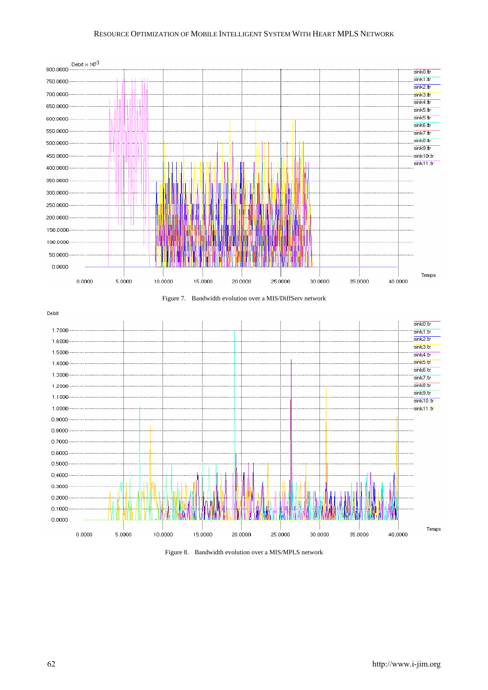# RESOURCE OPTIMIZATION OF MOBILE INTELLIGENT SYSTEM WITH HEART MPLS NETWORK







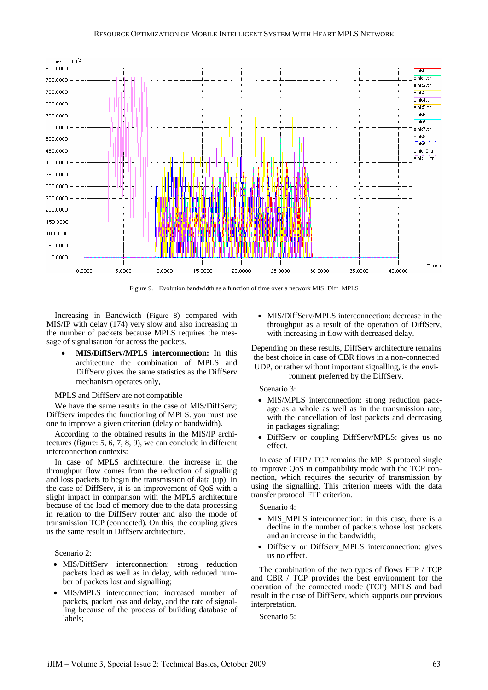### RESOURCE OPTIMIZATION OF MOBILE INTELLIGENT SYSTEM WITH HEART MPLS NETWORK



Figure 9. Evolution bandwidth as a function of time over a network MIS\_Diff\_MPLS

Increasing in Bandwidth (Figure 8) compared with MIS/IP with delay (174) very slow and also increasing in the number of packets because MPLS requires the message of signalisation for across the packets.

• **MIS/DiffServ/MPLS interconnection:** In this architecture the combination of MPLS and DiffServ gives the same statistics as the DiffServ mechanism operates only,

## MPLS and DiffServ are not compatible

We have the same results in the case of MIS/DiffServ; DiffServ impedes the functioning of MPLS. you must use one to improve a given criterion (delay or bandwidth).

According to the obtained results in the MIS/IP architectures (figure: 5, 6, 7, 8, 9), we can conclude in different interconnection contexts:

In case of MPLS architecture, the increase in the throughput flow comes from the reduction of signalling and loss packets to begin the transmission of data (up). In the case of DiffServ, it is an improvement of QoS with a slight impact in comparison with the MPLS architecture because of the load of memory due to the data processing in relation to the DiffServ router and also the mode of transmission TCP (connected). On this, the coupling gives us the same result in DiffServ architecture.

Scenario 2:

- MIS/DiffServ interconnection: strong reduction packets load as well as in delay, with reduced number of packets lost and signalling;
- MIS/MPLS interconnection: increased number of packets, packet loss and delay, and the rate of signalling because of the process of building database of labels;

• MIS/DiffServ/MPLS interconnection: decrease in the throughput as a result of the operation of DiffServ, with increasing in flow with decreased delay.

Depending on these results, DiffServ architecture remains the best choice in case of CBR flows in a non-connected UDP, or rather without important signalling, is the envi-

#### ronment preferred by the DiffServ.

Scenario 3:

- MIS/MPLS interconnection: strong reduction package as a whole as well as in the transmission rate, with the cancellation of lost packets and decreasing in packages signaling;
- DiffServ or coupling DiffServ/MPLS: gives us no effect.

In case of FTP / TCP remains the MPLS protocol single to improve QoS in compatibility mode with the TCP connection, which requires the security of transmission by using the signalling. This criterion meets with the data transfer protocol FTP criterion.

Scenario 4:

- MIS MPLS interconnection: in this case, there is a decline in the number of packets whose lost packets and an increase in the bandwidth;
- DiffServ or DiffServ MPLS interconnection: gives us no effect.

The combination of the two types of flows FTP / TCP and CBR / TCP provides the best environment for the operation of the connected mode (TCP) MPLS and bad result in the case of DiffServ, which supports our previous interpretation.

Scenario 5: